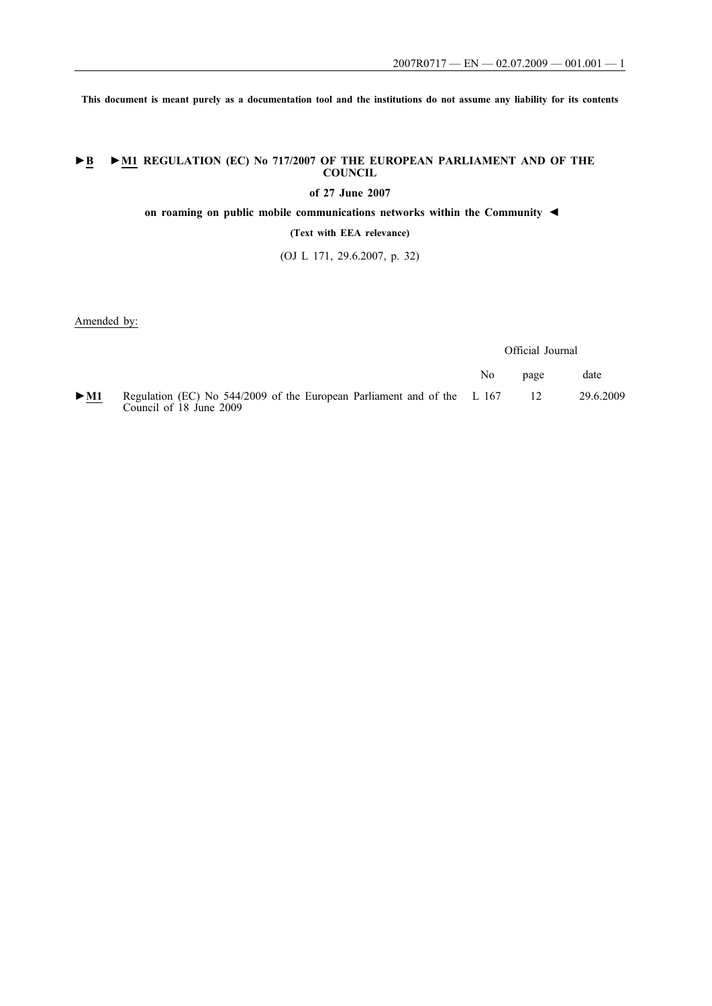**This document is meant purely as a documentation tool and the institutions do not assume any liability for its contents**

## **►B ►M1 REGULATION (EC) No 717/2007 OF THE EUROPEAN PARLIAMENT AND OF THE COUNCIL**

**of 27 June 2007**

**on roaming on public mobile communications networks within the Community ◄**

**(Text with EEA relevance)**

(OJ L 171, 29.6.2007, p. 32)

Amended by:

Official Journal

|        |                                                                                                    | No | page | date      |
|--------|----------------------------------------------------------------------------------------------------|----|------|-----------|
| $>$ M1 | Regulation (EC) No 544/2009 of the European Parliament and of the L 167<br>Council of 18 June 2009 |    |      | 29.6.2009 |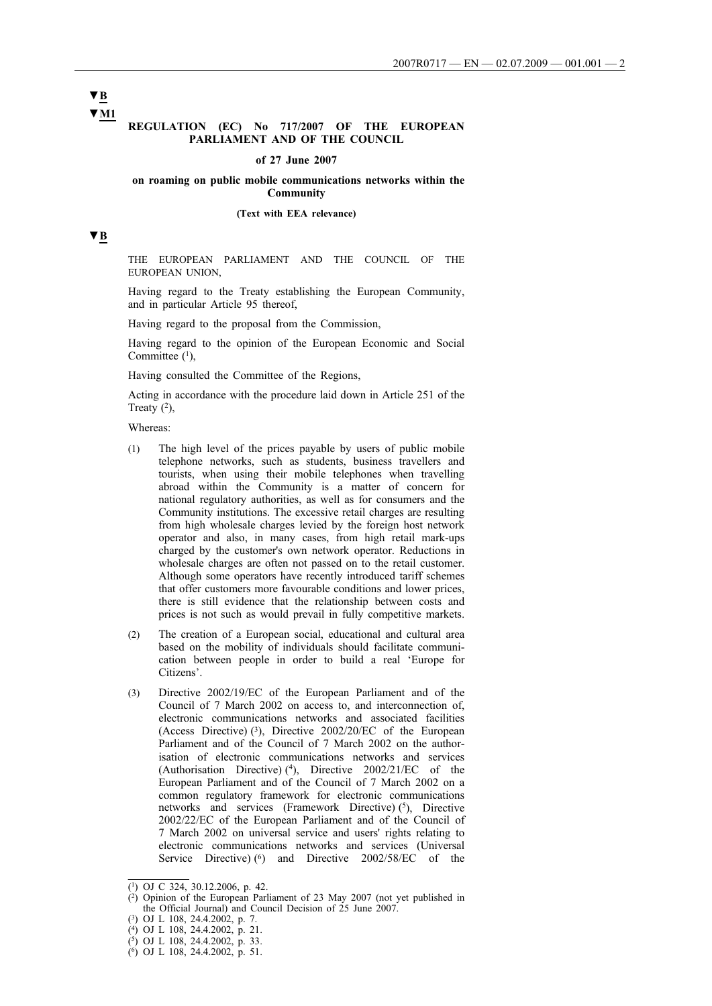**▼B ▼M1**

### **REGULATION (EC) No 717/2007 OF THE EUROPEAN PARLIAMENT AND OF THE COUNCIL**

#### **of 27 June 2007**

### **on roaming on public mobile communications networks within the Community**

#### **(Text with EEA relevance)**

## **▼B**

THE EUROPEAN PARLIAMENT AND THE COUNCIL OF THE EUROPEAN UNION,

Having regard to the Treaty establishing the European Community, and in particular Article 95 thereof,

Having regard to the proposal from the Commission,

Having regard to the opinion of the European Economic and Social Committee (1),

Having consulted the Committee of the Regions,

Acting in accordance with the procedure laid down in Article 251 of the Treaty  $(2)$ ,

Whereas:

- (1) The high level of the prices payable by users of public mobile telephone networks, such as students, business travellers and tourists, when using their mobile telephones when travelling abroad within the Community is a matter of concern for national regulatory authorities, as well as for consumers and the Community institutions. The excessive retail charges are resulting from high wholesale charges levied by the foreign host network operator and also, in many cases, from high retail mark-ups charged by the customer's own network operator. Reductions in wholesale charges are often not passed on to the retail customer. Although some operators have recently introduced tariff schemes that offer customers more favourable conditions and lower prices, there is still evidence that the relationship between costs and prices is not such as would prevail in fully competitive markets.
- (2) The creation of a European social, educational and cultural area based on the mobility of individuals should facilitate communication between people in order to build a real 'Europe for Citizens'.
- (3) Directive 2002/19/EC of the European Parliament and of the Council of 7 March 2002 on access to, and interconnection of, electronic communications networks and associated facilities (Access Directive) (3), Directive 2002/20/EC of the European Parliament and of the Council of 7 March 2002 on the authorisation of electronic communications networks and services (Authorisation Directive) (4), Directive  $2002/21/EC$  of the European Parliament and of the Council of 7 March 2002 on a common regulatory framework for electronic communications networks and services (Framework Directive) (5), Directive 2002/22/EC of the European Parliament and of the Council of 7 March 2002 on universal service and users' rights relating to electronic communications networks and services (Universal Service Directive) (<sup>6</sup>) and Directive 2002/58/EC of the

<sup>(1)</sup> OJ C 324, 30.12.2006, p. 42.

 $(2)$  Opinion of the European Parliament of 23 May 2007 (not yet published in the Official Journal) and Council Decision of 25 June 2007.

<sup>(3)</sup> OJ L 108, 24.4.2002, p. 7.

<sup>(4)</sup> OJ L 108, 24.4.2002, p. 21.

 $(5)$  OJ L 108, 24.4.2002, p. 33.

<sup>(6)</sup> OJ L 108, 24.4.2002, p. 51.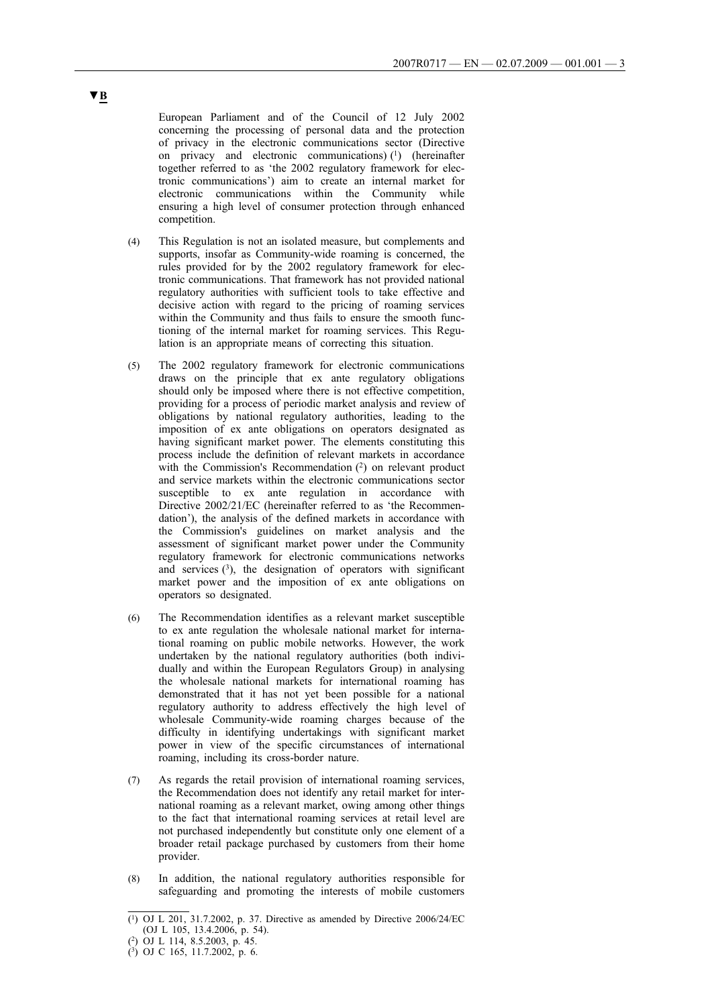European Parliament and of the Council of 12 July 2002 concerning the processing of personal data and the protection of privacy in the electronic communications sector (Directive on privacy and electronic communications) $(1)$  (hereinafter together referred to as 'the 2002 regulatory framework for electronic communications') aim to create an internal market for electronic communications within the Community while ensuring a high level of consumer protection through enhanced competition.

- (4) This Regulation is not an isolated measure, but complements and supports, insofar as Community-wide roaming is concerned, the rules provided for by the 2002 regulatory framework for electronic communications. That framework has not provided national regulatory authorities with sufficient tools to take effective and decisive action with regard to the pricing of roaming services within the Community and thus fails to ensure the smooth functioning of the internal market for roaming services. This Regulation is an appropriate means of correcting this situation.
- (5) The 2002 regulatory framework for electronic communications draws on the principle that ex ante regulatory obligations should only be imposed where there is not effective competition, providing for a process of periodic market analysis and review of obligations by national regulatory authorities, leading to the imposition of ex ante obligations on operators designated as having significant market power. The elements constituting this process include the definition of relevant markets in accordance with the Commission's Recommendation  $(2)$  on relevant product and service markets within the electronic communications sector susceptible to ex ante regulation in accordance with Directive 2002/21/EC (hereinafter referred to as 'the Recommendation'), the analysis of the defined markets in accordance with the Commission's guidelines on market analysis and the assessment of significant market power under the Community regulatory framework for electronic communications networks and services  $(3)$ , the designation of operators with significant market power and the imposition of ex ante obligations on operators so designated.
- (6) The Recommendation identifies as a relevant market susceptible to ex ante regulation the wholesale national market for international roaming on public mobile networks. However, the work undertaken by the national regulatory authorities (both individually and within the European Regulators Group) in analysing the wholesale national markets for international roaming has demonstrated that it has not yet been possible for a national regulatory authority to address effectively the high level of wholesale Community-wide roaming charges because of the difficulty in identifying undertakings with significant market power in view of the specific circumstances of international roaming, including its cross-border nature.
- (7) As regards the retail provision of international roaming services, the Recommendation does not identify any retail market for international roaming as a relevant market, owing among other things to the fact that international roaming services at retail level are not purchased independently but constitute only one element of a broader retail package purchased by customers from their home provider.
- (8) In addition, the national regulatory authorities responsible for safeguarding and promoting the interests of mobile customers

<sup>(1)</sup> OJ L 201, 31.7.2002, p. 37. Directive as amended by Directive 2006/24/EC (OJ L 105, 13.4.2006, p. 54).

<sup>(2)</sup> OJ L 114, 8.5.2003, p. 45.

<sup>(3)</sup> OJ C 165, 11.7.2002, p. 6.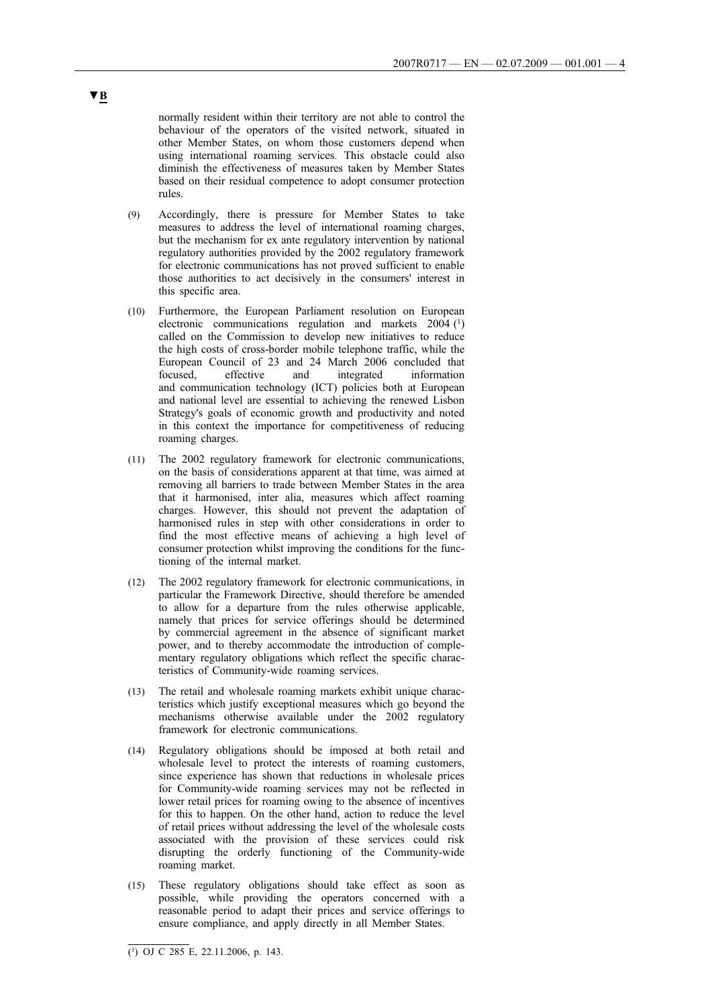normally resident within their territory are not able to control the behaviour of the operators of the visited network, situated in other Member States, on whom those customers depend when using international roaming services. This obstacle could also diminish the effectiveness of measures taken by Member States based on their residual competence to adopt consumer protection rules.

- (9) Accordingly, there is pressure for Member States to take measures to address the level of international roaming charges, but the mechanism for ex ante regulatory intervention by national regulatory authorities provided by the 2002 regulatory framework for electronic communications has not proved sufficient to enable those authorities to act decisively in the consumers' interest in this specific area.
- (10) Furthermore, the European Parliament resolution on European electronic communications regulation and markets 2004 (1) called on the Commission to develop new initiatives to reduce the high costs of cross-border mobile telephone traffic, while the European Council of 23 and 24 March 2006 concluded that focused, effective and integrated information and communication technology (ICT) policies both at European and national level are essential to achieving the renewed Lisbon Strategy's goals of economic growth and productivity and noted in this context the importance for competitiveness of reducing roaming charges.
- (11) The 2002 regulatory framework for electronic communications, on the basis of considerations apparent at that time, was aimed at removing all barriers to trade between Member States in the area that it harmonised, inter alia, measures which affect roaming charges. However, this should not prevent the adaptation of harmonised rules in step with other considerations in order to find the most effective means of achieving a high level of consumer protection whilst improving the conditions for the functioning of the internal market.
- (12) The 2002 regulatory framework for electronic communications, in particular the Framework Directive, should therefore be amended to allow for a departure from the rules otherwise applicable, namely that prices for service offerings should be determined by commercial agreement in the absence of significant market power, and to thereby accommodate the introduction of complementary regulatory obligations which reflect the specific characteristics of Community-wide roaming services.
- (13) The retail and wholesale roaming markets exhibit unique characteristics which justify exceptional measures which go beyond the mechanisms otherwise available under the 2002 regulatory framework for electronic communications.
- (14) Regulatory obligations should be imposed at both retail and wholesale level to protect the interests of roaming customers, since experience has shown that reductions in wholesale prices for Community-wide roaming services may not be reflected in lower retail prices for roaming owing to the absence of incentives for this to happen. On the other hand, action to reduce the level of retail prices without addressing the level of the wholesale costs associated with the provision of these services could risk disrupting the orderly functioning of the Community-wide roaming market.
- (15) These regulatory obligations should take effect as soon as possible, while providing the operators concerned with a reasonable period to adapt their prices and service offerings to ensure compliance, and apply directly in all Member States.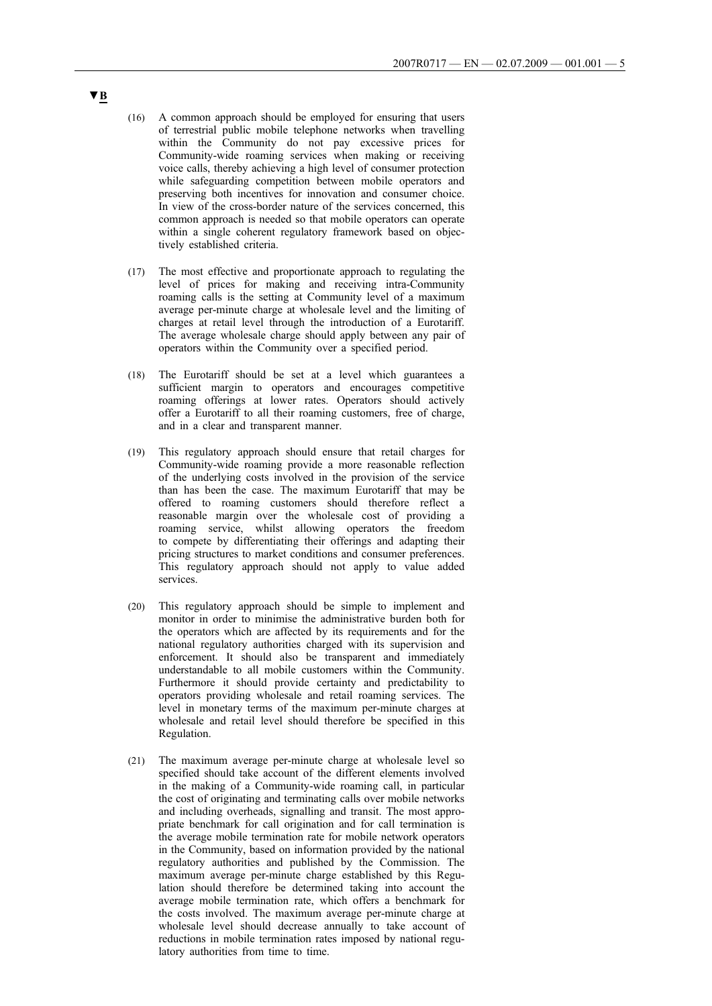- (16) A common approach should be employed for ensuring that users of terrestrial public mobile telephone networks when travelling within the Community do not pay excessive prices for Community-wide roaming services when making or receiving voice calls, thereby achieving a high level of consumer protection while safeguarding competition between mobile operators and preserving both incentives for innovation and consumer choice. In view of the cross-border nature of the services concerned, this common approach is needed so that mobile operators can operate within a single coherent regulatory framework based on objectively established criteria.
- (17) The most effective and proportionate approach to regulating the level of prices for making and receiving intra-Community roaming calls is the setting at Community level of a maximum average per-minute charge at wholesale level and the limiting of charges at retail level through the introduction of a Eurotariff. The average wholesale charge should apply between any pair of operators within the Community over a specified period.
- (18) The Eurotariff should be set at a level which guarantees a sufficient margin to operators and encourages competitive roaming offerings at lower rates. Operators should actively offer a Eurotariff to all their roaming customers, free of charge, and in a clear and transparent manner.
- (19) This regulatory approach should ensure that retail charges for Community-wide roaming provide a more reasonable reflection of the underlying costs involved in the provision of the service than has been the case. The maximum Eurotariff that may be offered to roaming customers should therefore reflect a reasonable margin over the wholesale cost of providing a roaming service, whilst allowing operators the freedom to compete by differentiating their offerings and adapting their pricing structures to market conditions and consumer preferences. This regulatory approach should not apply to value added services.
- (20) This regulatory approach should be simple to implement and monitor in order to minimise the administrative burden both for the operators which are affected by its requirements and for the national regulatory authorities charged with its supervision and enforcement. It should also be transparent and immediately understandable to all mobile customers within the Community. Furthermore it should provide certainty and predictability to operators providing wholesale and retail roaming services. The level in monetary terms of the maximum per-minute charges at wholesale and retail level should therefore be specified in this Regulation.
- (21) The maximum average per-minute charge at wholesale level so specified should take account of the different elements involved in the making of a Community-wide roaming call, in particular the cost of originating and terminating calls over mobile networks and including overheads, signalling and transit. The most appropriate benchmark for call origination and for call termination is the average mobile termination rate for mobile network operators in the Community, based on information provided by the national regulatory authorities and published by the Commission. The maximum average per-minute charge established by this Regulation should therefore be determined taking into account the average mobile termination rate, which offers a benchmark for the costs involved. The maximum average per-minute charge at wholesale level should decrease annually to take account of reductions in mobile termination rates imposed by national regulatory authorities from time to time.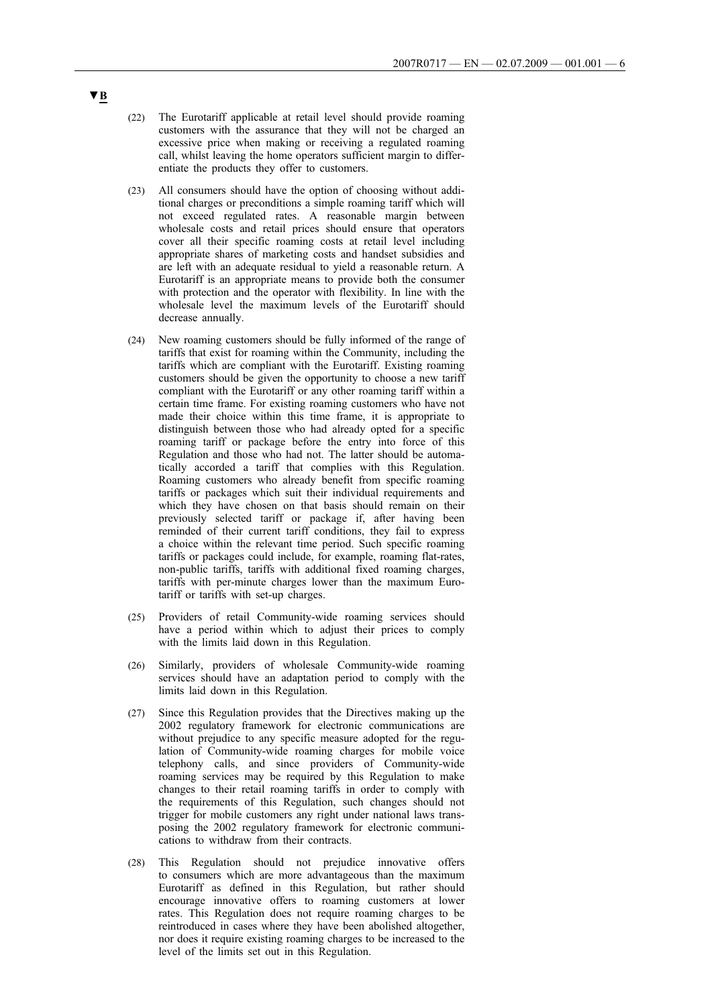- (22) The Eurotariff applicable at retail level should provide roaming customers with the assurance that they will not be charged an excessive price when making or receiving a regulated roaming call, whilst leaving the home operators sufficient margin to differentiate the products they offer to customers.
- (23) All consumers should have the option of choosing without additional charges or preconditions a simple roaming tariff which will not exceed regulated rates. A reasonable margin between wholesale costs and retail prices should ensure that operators cover all their specific roaming costs at retail level including appropriate shares of marketing costs and handset subsidies and are left with an adequate residual to yield a reasonable return. A Eurotariff is an appropriate means to provide both the consumer with protection and the operator with flexibility. In line with the wholesale level the maximum levels of the Eurotariff should decrease annually.
- (24) New roaming customers should be fully informed of the range of tariffs that exist for roaming within the Community, including the tariffs which are compliant with the Eurotariff. Existing roaming customers should be given the opportunity to choose a new tariff compliant with the Eurotariff or any other roaming tariff within a certain time frame. For existing roaming customers who have not made their choice within this time frame, it is appropriate to distinguish between those who had already opted for a specific roaming tariff or package before the entry into force of this Regulation and those who had not. The latter should be automatically accorded a tariff that complies with this Regulation. Roaming customers who already benefit from specific roaming tariffs or packages which suit their individual requirements and which they have chosen on that basis should remain on their previously selected tariff or package if, after having been reminded of their current tariff conditions, they fail to express a choice within the relevant time period. Such specific roaming tariffs or packages could include, for example, roaming flat-rates, non-public tariffs, tariffs with additional fixed roaming charges, tariffs with per-minute charges lower than the maximum Eurotariff or tariffs with set-up charges.
- (25) Providers of retail Community-wide roaming services should have a period within which to adjust their prices to comply with the limits laid down in this Regulation.
- (26) Similarly, providers of wholesale Community-wide roaming services should have an adaptation period to comply with the limits laid down in this Regulation.
- (27) Since this Regulation provides that the Directives making up the 2002 regulatory framework for electronic communications are without prejudice to any specific measure adopted for the regulation of Community-wide roaming charges for mobile voice telephony calls, and since providers of Community-wide roaming services may be required by this Regulation to make changes to their retail roaming tariffs in order to comply with the requirements of this Regulation, such changes should not trigger for mobile customers any right under national laws transposing the 2002 regulatory framework for electronic communications to withdraw from their contracts.
- (28) This Regulation should not prejudice innovative offers to consumers which are more advantageous than the maximum Eurotariff as defined in this Regulation, but rather should encourage innovative offers to roaming customers at lower rates. This Regulation does not require roaming charges to be reintroduced in cases where they have been abolished altogether, nor does it require existing roaming charges to be increased to the level of the limits set out in this Regulation.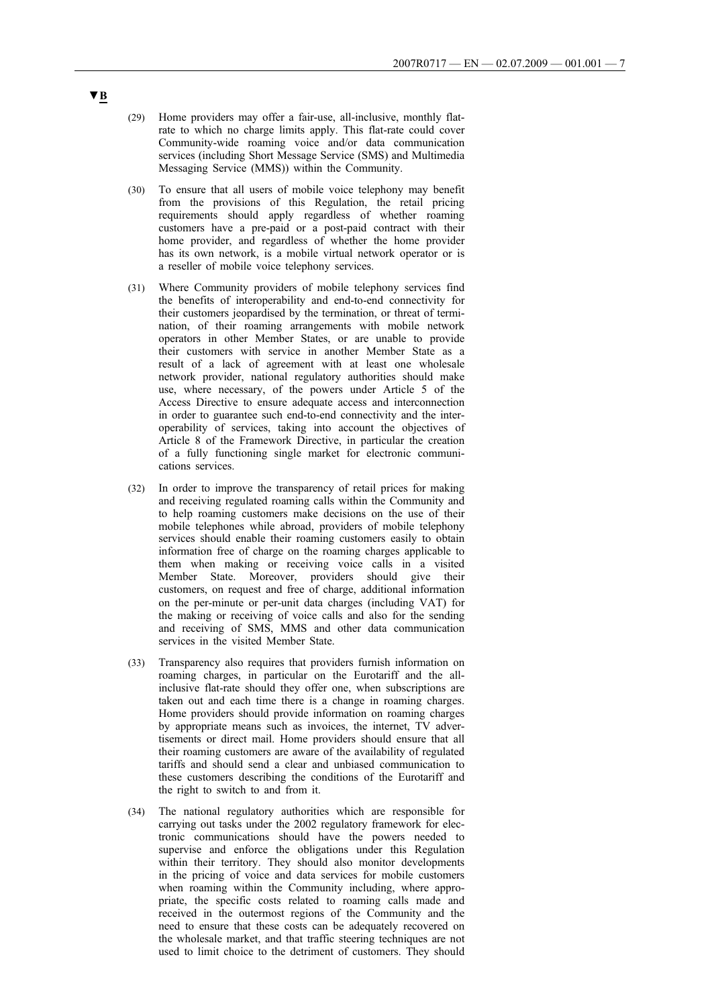- (29) Home providers may offer a fair-use, all-inclusive, monthly flatrate to which no charge limits apply. This flat-rate could cover Community-wide roaming voice and/or data communication services (including Short Message Service (SMS) and Multimedia Messaging Service (MMS)) within the Community.
- (30) To ensure that all users of mobile voice telephony may benefit from the provisions of this Regulation, the retail pricing requirements should apply regardless of whether roaming customers have a pre-paid or a post-paid contract with their home provider, and regardless of whether the home provider has its own network, is a mobile virtual network operator or is a reseller of mobile voice telephony services.
- (31) Where Community providers of mobile telephony services find the benefits of interoperability and end-to-end connectivity for their customers jeopardised by the termination, or threat of termination, of their roaming arrangements with mobile network operators in other Member States, or are unable to provide their customers with service in another Member State as a result of a lack of agreement with at least one wholesale network provider, national regulatory authorities should make use, where necessary, of the powers under Article 5 of the Access Directive to ensure adequate access and interconnection in order to guarantee such end-to-end connectivity and the interoperability of services, taking into account the objectives of Article 8 of the Framework Directive, in particular the creation of a fully functioning single market for electronic communications services.
- (32) In order to improve the transparency of retail prices for making and receiving regulated roaming calls within the Community and to help roaming customers make decisions on the use of their mobile telephones while abroad, providers of mobile telephony services should enable their roaming customers easily to obtain information free of charge on the roaming charges applicable to them when making or receiving voice calls in a visited Member State. Moreover, providers should give their customers, on request and free of charge, additional information on the per-minute or per-unit data charges (including VAT) for the making or receiving of voice calls and also for the sending and receiving of SMS, MMS and other data communication services in the visited Member State.
- (33) Transparency also requires that providers furnish information on roaming charges, in particular on the Eurotariff and the allinclusive flat-rate should they offer one, when subscriptions are taken out and each time there is a change in roaming charges. Home providers should provide information on roaming charges by appropriate means such as invoices, the internet, TV advertisements or direct mail. Home providers should ensure that all their roaming customers are aware of the availability of regulated tariffs and should send a clear and unbiased communication to these customers describing the conditions of the Eurotariff and the right to switch to and from it.
- (34) The national regulatory authorities which are responsible for carrying out tasks under the 2002 regulatory framework for electronic communications should have the powers needed to supervise and enforce the obligations under this Regulation within their territory. They should also monitor developments in the pricing of voice and data services for mobile customers when roaming within the Community including, where appropriate, the specific costs related to roaming calls made and received in the outermost regions of the Community and the need to ensure that these costs can be adequately recovered on the wholesale market, and that traffic steering techniques are not used to limit choice to the detriment of customers. They should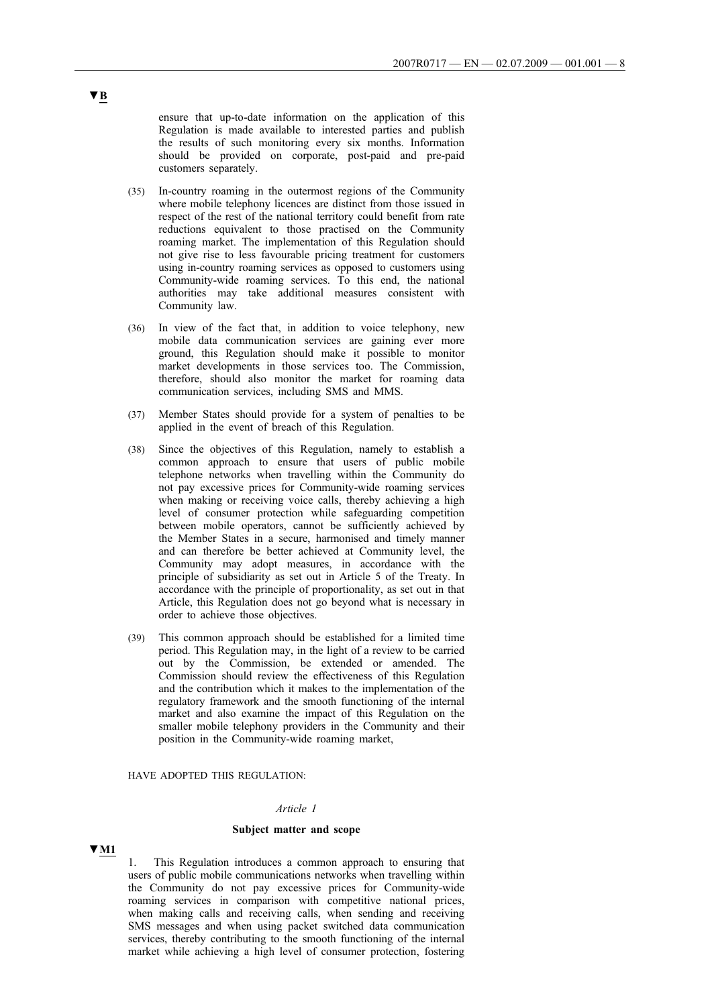ensure that up-to-date information on the application of this Regulation is made available to interested parties and publish the results of such monitoring every six months. Information should be provided on corporate, post-paid and pre-paid customers separately.

- (35) In-country roaming in the outermost regions of the Community where mobile telephony licences are distinct from those issued in respect of the rest of the national territory could benefit from rate reductions equivalent to those practised on the Community roaming market. The implementation of this Regulation should not give rise to less favourable pricing treatment for customers using in-country roaming services as opposed to customers using Community-wide roaming services. To this end, the national authorities may take additional measures consistent with Community law.
- (36) In view of the fact that, in addition to voice telephony, new mobile data communication services are gaining ever more ground, this Regulation should make it possible to monitor market developments in those services too. The Commission, therefore, should also monitor the market for roaming data communication services, including SMS and MMS.
- (37) Member States should provide for a system of penalties to be applied in the event of breach of this Regulation.
- (38) Since the objectives of this Regulation, namely to establish a common approach to ensure that users of public mobile telephone networks when travelling within the Community do not pay excessive prices for Community-wide roaming services when making or receiving voice calls, thereby achieving a high level of consumer protection while safeguarding competition between mobile operators, cannot be sufficiently achieved by the Member States in a secure, harmonised and timely manner and can therefore be better achieved at Community level, the Community may adopt measures, in accordance with the principle of subsidiarity as set out in Article 5 of the Treaty. In accordance with the principle of proportionality, as set out in that Article, this Regulation does not go beyond what is necessary in order to achieve those objectives.
- (39) This common approach should be established for a limited time period. This Regulation may, in the light of a review to be carried out by the Commission, be extended or amended. The Commission should review the effectiveness of this Regulation and the contribution which it makes to the implementation of the regulatory framework and the smooth functioning of the internal market and also examine the impact of this Regulation on the smaller mobile telephony providers in the Community and their position in the Community-wide roaming market,

### HAVE ADOPTED THIS REGULATION:

### *Article 1*

#### **Subject matter and scope**

### **▼M1**

This Regulation introduces a common approach to ensuring that users of public mobile communications networks when travelling within the Community do not pay excessive prices for Community-wide roaming services in comparison with competitive national prices, when making calls and receiving calls, when sending and receiving SMS messages and when using packet switched data communication services, thereby contributing to the smooth functioning of the internal market while achieving a high level of consumer protection, fostering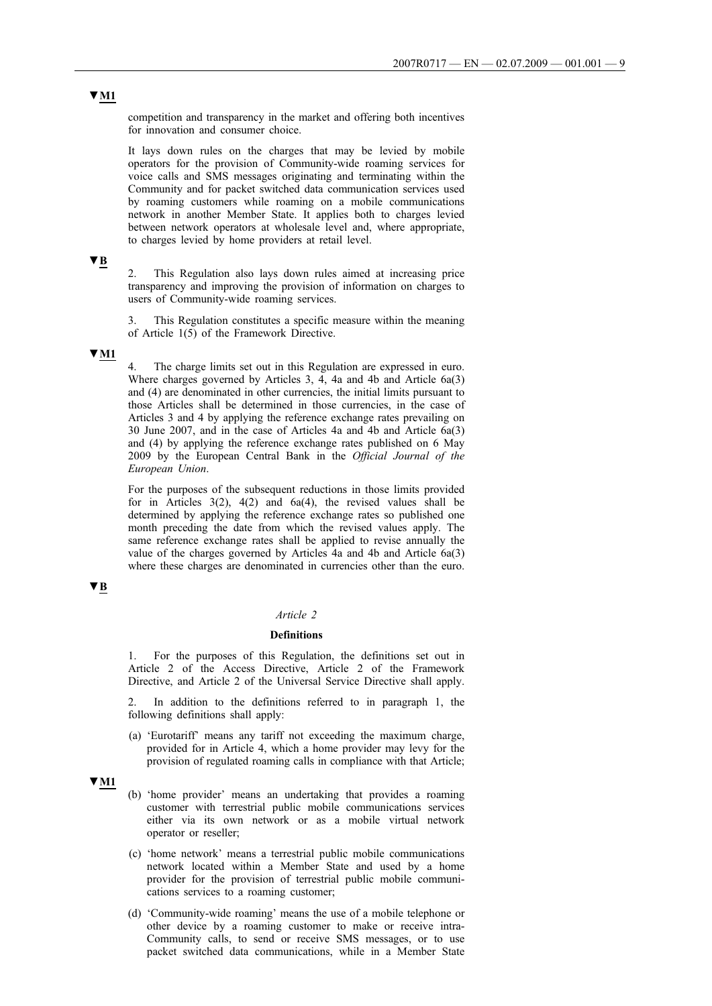competition and transparency in the market and offering both incentives for innovation and consumer choice.

It lays down rules on the charges that may be levied by mobile operators for the provision of Community-wide roaming services for voice calls and SMS messages originating and terminating within the Community and for packet switched data communication services used by roaming customers while roaming on a mobile communications network in another Member State. It applies both to charges levied between network operators at wholesale level and, where appropriate, to charges levied by home providers at retail level.

## **▼B**

2. This Regulation also lays down rules aimed at increasing price transparency and improving the provision of information on charges to users of Community-wide roaming services.

This Regulation constitutes a specific measure within the meaning of Article  $1(5)$  of the Framework Directive.

## **▼M1**

The charge limits set out in this Regulation are expressed in euro. Where charges governed by Articles 3, 4, 4a and 4b and Article 6a(3) and (4) are denominated in other currencies, the initial limits pursuant to those Articles shall be determined in those currencies, in the case of Articles 3 and 4 by applying the reference exchange rates prevailing on 30 June 2007, and in the case of Articles 4a and 4b and Article 6a(3) and (4) by applying the reference exchange rates published on 6 May 2009 by the European Central Bank in the *Official Journal of the European Union*.

For the purposes of the subsequent reductions in those limits provided for in Articles  $3(2)$ ,  $4(2)$  and  $6a(4)$ , the revised values shall be determined by applying the reference exchange rates so published one month preceding the date from which the revised values apply. The same reference exchange rates shall be applied to revise annually the value of the charges governed by Articles 4a and 4b and Article 6a(3) where these charges are denominated in currencies other than the euro.

## **▼B**

#### *Article 2*

## **Definitions**

1. For the purposes of this Regulation, the definitions set out in Article 2 of the Access Directive, Article 2 of the Framework Directive, and Article 2 of the Universal Service Directive shall apply.

In addition to the definitions referred to in paragraph 1, the following definitions shall apply:

(a) 'Eurotariff' means any tariff not exceeding the maximum charge, provided for in Article 4, which a home provider may levy for the provision of regulated roaming calls in compliance with that Article;

# **▼M1**

- (b) 'home provider' means an undertaking that provides a roaming customer with terrestrial public mobile communications services either via its own network or as a mobile virtual network operator or reseller;
- (c) 'home network' means a terrestrial public mobile communications network located within a Member State and used by a home provider for the provision of terrestrial public mobile communications services to a roaming customer;
- (d) 'Community-wide roaming' means the use of a mobile telephone or other device by a roaming customer to make or receive intra-Community calls, to send or receive SMS messages, or to use packet switched data communications, while in a Member State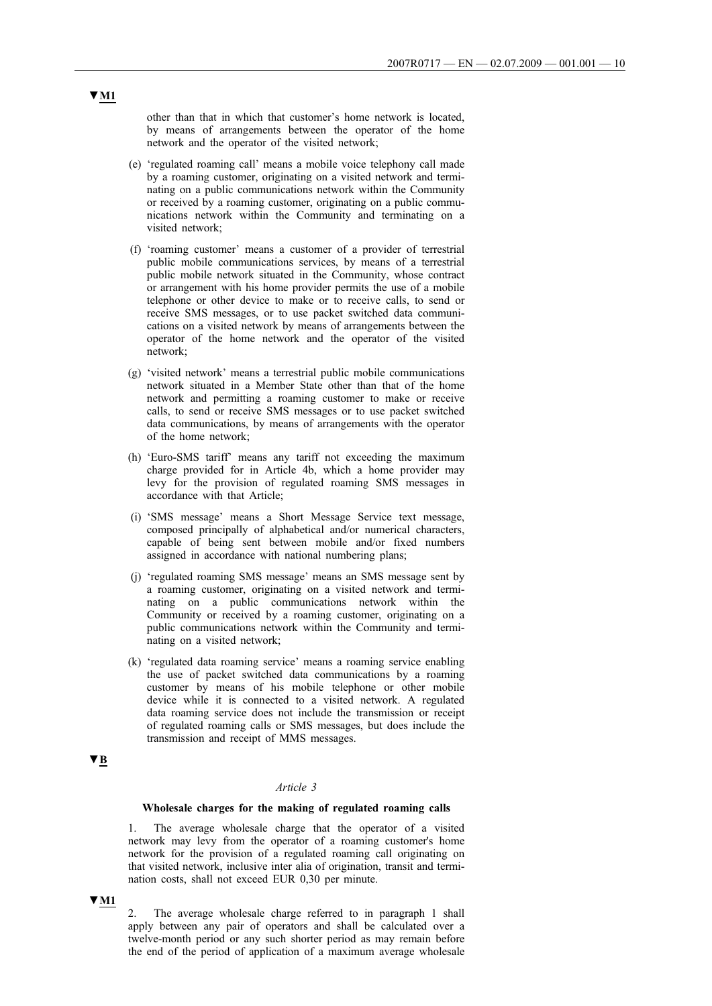other than that in which that customer's home network is located, by means of arrangements between the operator of the home network and the operator of the visited network;

- (e) 'regulated roaming call' means a mobile voice telephony call made by a roaming customer, originating on a visited network and terminating on a public communications network within the Community or received by a roaming customer, originating on a public communications network within the Community and terminating on a visited network;
- (f) 'roaming customer' means a customer of a provider of terrestrial public mobile communications services, by means of a terrestrial public mobile network situated in the Community, whose contract or arrangement with his home provider permits the use of a mobile telephone or other device to make or to receive calls, to send or receive SMS messages, or to use packet switched data communications on a visited network by means of arrangements between the operator of the home network and the operator of the visited network;
- (g) 'visited network' means a terrestrial public mobile communications network situated in a Member State other than that of the home network and permitting a roaming customer to make or receive calls, to send or receive SMS messages or to use packet switched data communications, by means of arrangements with the operator of the home network;
- (h) 'Euro-SMS tariff' means any tariff not exceeding the maximum charge provided for in Article 4b, which a home provider may levy for the provision of regulated roaming SMS messages in accordance with that Article;
- (i) 'SMS message' means a Short Message Service text message, composed principally of alphabetical and/or numerical characters, capable of being sent between mobile and/or fixed numbers assigned in accordance with national numbering plans;
- (j) 'regulated roaming SMS message' means an SMS message sent by a roaming customer, originating on a visited network and terminating on a public communications network within the Community or received by a roaming customer, originating on a public communications network within the Community and terminating on a visited network;
- (k) 'regulated data roaming service' means a roaming service enabling the use of packet switched data communications by a roaming customer by means of his mobile telephone or other mobile device while it is connected to a visited network. A regulated data roaming service does not include the transmission or receipt of regulated roaming calls or SMS messages, but does include the transmission and receipt of MMS messages.

### **▼B**

### *Article 3*

### **Wholesale charges for the making of regulated roaming calls**

1. The average wholesale charge that the operator of a visited network may levy from the operator of a roaming customer's home network for the provision of a regulated roaming call originating on that visited network, inclusive inter alia of origination, transit and termination costs, shall not exceed EUR 0,30 per minute.

## **▼M1**

2. The average wholesale charge referred to in paragraph 1 shall apply between any pair of operators and shall be calculated over a twelve-month period or any such shorter period as may remain before the end of the period of application of a maximum average wholesale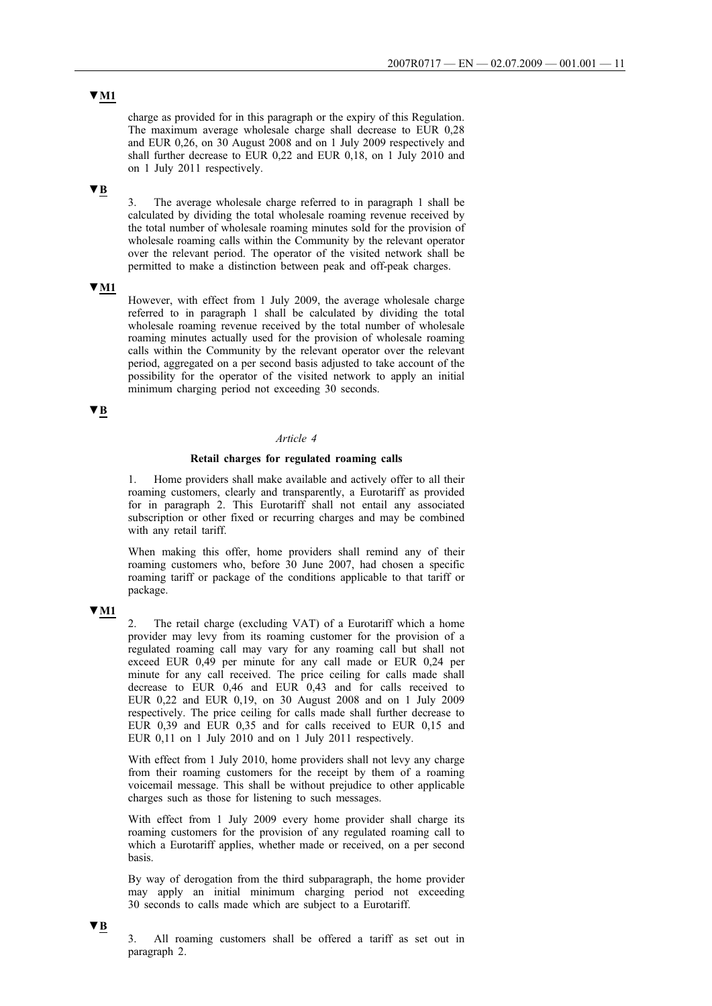# **▼M1**

charge as provided for in this paragraph or the expiry of this Regulation. The maximum average wholesale charge shall decrease to EUR 0,28 and EUR 0,26, on 30 August 2008 and on 1 July 2009 respectively and shall further decrease to EUR 0,22 and EUR 0,18, on 1 July 2010 and on 1 July 2011 respectively.

## **▼B**

3. The average wholesale charge referred to in paragraph 1 shall be calculated by dividing the total wholesale roaming revenue received by the total number of wholesale roaming minutes sold for the provision of wholesale roaming calls within the Community by the relevant operator over the relevant period. The operator of the visited network shall be permitted to make a distinction between peak and off-peak charges.

## **▼M1**

However, with effect from 1 July 2009, the average wholesale charge referred to in paragraph 1 shall be calculated by dividing the total wholesale roaming revenue received by the total number of wholesale roaming minutes actually used for the provision of wholesale roaming calls within the Community by the relevant operator over the relevant period, aggregated on a per second basis adjusted to take account of the possibility for the operator of the visited network to apply an initial minimum charging period not exceeding 30 seconds.

## **▼B**

## *Article 4*

### **Retail charges for regulated roaming calls**

1. Home providers shall make available and actively offer to all their roaming customers, clearly and transparently, a Eurotariff as provided for in paragraph 2. This Eurotariff shall not entail any associated subscription or other fixed or recurring charges and may be combined with any retail tariff.

When making this offer, home providers shall remind any of their roaming customers who, before 30 June 2007, had chosen a specific roaming tariff or package of the conditions applicable to that tariff or package.

# **▼M1**

2. The retail charge (excluding VAT) of a Eurotariff which a home provider may levy from its roaming customer for the provision of a regulated roaming call may vary for any roaming call but shall not exceed EUR 0,49 per minute for any call made or EUR 0,24 per minute for any call received. The price ceiling for calls made shall decrease to EUR 0,46 and EUR 0,43 and for calls received to EUR 0,22 and EUR 0,19, on 30 August 2008 and on 1 July 2009 respectively. The price ceiling for calls made shall further decrease to EUR 0,39 and EUR 0,35 and for calls received to EUR 0,15 and EUR 0,11 on 1 July 2010 and on 1 July 2011 respectively.

With effect from 1 July 2010, home providers shall not levy any charge from their roaming customers for the receipt by them of a roaming voicemail message. This shall be without prejudice to other applicable charges such as those for listening to such messages.

With effect from 1 July 2009 every home provider shall charge its roaming customers for the provision of any regulated roaming call to which a Eurotariff applies, whether made or received, on a per second basis.

By way of derogation from the third subparagraph, the home provider may apply an initial minimum charging period not exceeding 30 seconds to calls made which are subject to a Eurotariff.

## **▼B**

3. All roaming customers shall be offered a tariff as set out in paragraph 2.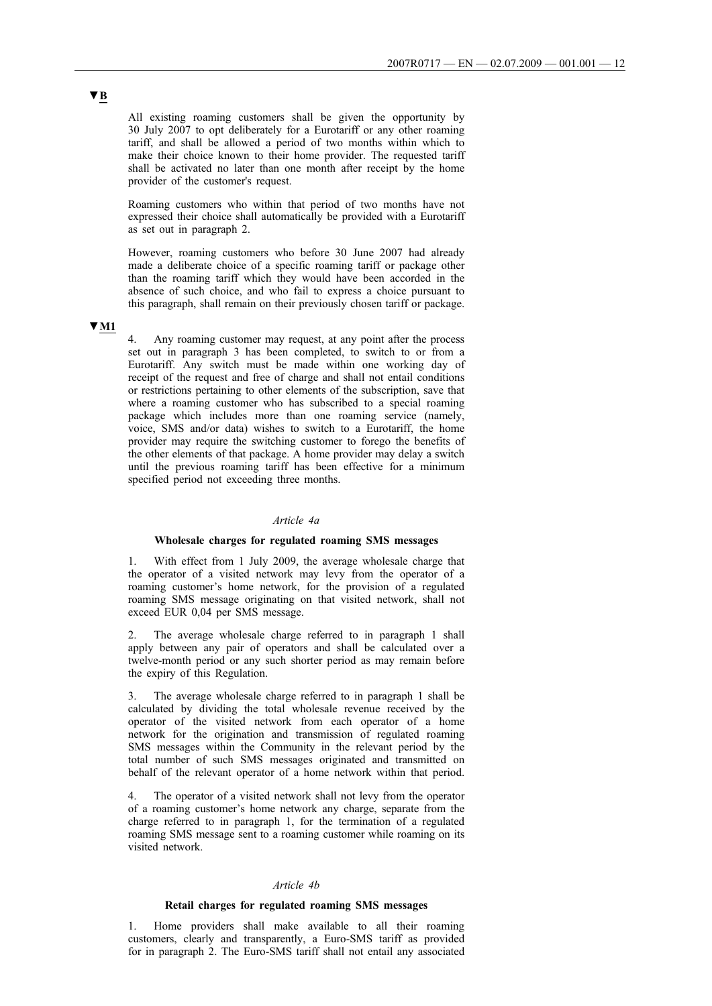All existing roaming customers shall be given the opportunity by 30 July 2007 to opt deliberately for a Eurotariff or any other roaming tariff, and shall be allowed a period of two months within which to make their choice known to their home provider. The requested tariff shall be activated no later than one month after receipt by the home provider of the customer's request.

Roaming customers who within that period of two months have not expressed their choice shall automatically be provided with a Eurotariff as set out in paragraph 2.

However, roaming customers who before 30 June 2007 had already made a deliberate choice of a specific roaming tariff or package other than the roaming tariff which they would have been accorded in the absence of such choice, and who fail to express a choice pursuant to this paragraph, shall remain on their previously chosen tariff or package.

# **▼M1**

4. Any roaming customer may request, at any point after the process set out in paragraph 3 has been completed, to switch to or from a Eurotariff. Any switch must be made within one working day of receipt of the request and free of charge and shall not entail conditions or restrictions pertaining to other elements of the subscription, save that where a roaming customer who has subscribed to a special roaming package which includes more than one roaming service (namely, voice, SMS and/or data) wishes to switch to a Eurotariff, the home provider may require the switching customer to forego the benefits of the other elements of that package. A home provider may delay a switch until the previous roaming tariff has been effective for a minimum specified period not exceeding three months.

### *Article 4a*

## **Wholesale charges for regulated roaming SMS messages**

1. With effect from 1 July 2009, the average wholesale charge that the operator of a visited network may levy from the operator of a roaming customer's home network, for the provision of a regulated roaming SMS message originating on that visited network, shall not exceed EUR 0,04 per SMS message.

2. The average wholesale charge referred to in paragraph 1 shall apply between any pair of operators and shall be calculated over a twelve-month period or any such shorter period as may remain before the expiry of this Regulation.

The average wholesale charge referred to in paragraph 1 shall be calculated by dividing the total wholesale revenue received by the operator of the visited network from each operator of a home network for the origination and transmission of regulated roaming SMS messages within the Community in the relevant period by the total number of such SMS messages originated and transmitted on behalf of the relevant operator of a home network within that period.

The operator of a visited network shall not levy from the operator of a roaming customer's home network any charge, separate from the charge referred to in paragraph 1, for the termination of a regulated roaming SMS message sent to a roaming customer while roaming on its visited network.

### *Article 4b*

#### **Retail charges for regulated roaming SMS messages**

1. Home providers shall make available to all their roaming customers, clearly and transparently, a Euro-SMS tariff as provided for in paragraph 2. The Euro-SMS tariff shall not entail any associated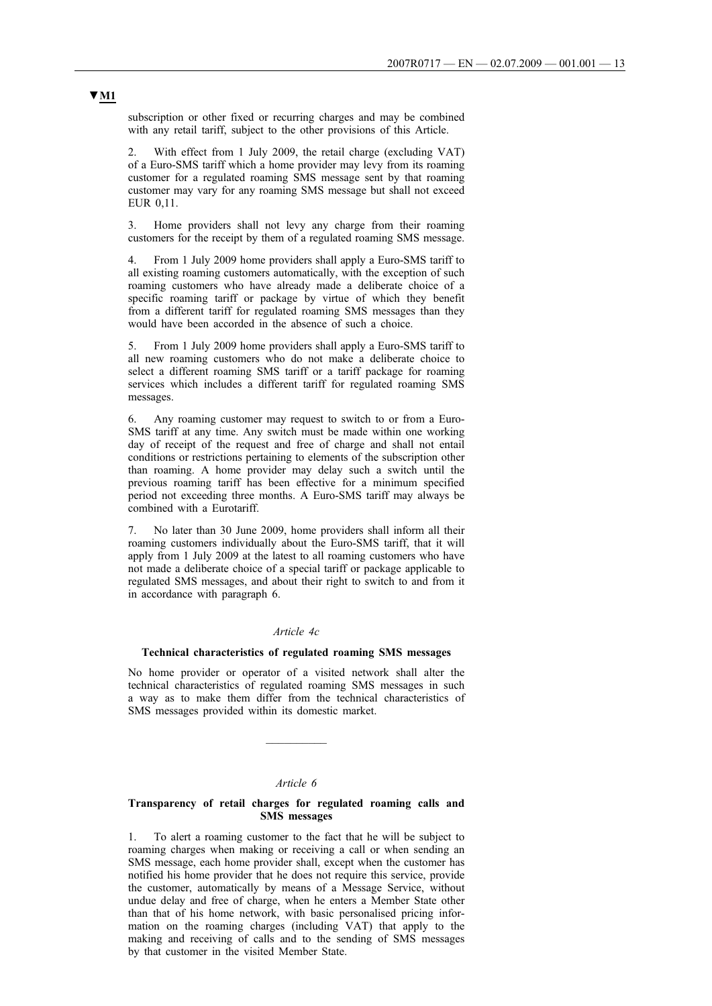subscription or other fixed or recurring charges and may be combined with any retail tariff, subject to the other provisions of this Article.

2. With effect from 1 July 2009, the retail charge (excluding VAT) of a Euro-SMS tariff which a home provider may levy from its roaming customer for a regulated roaming SMS message sent by that roaming customer may vary for any roaming SMS message but shall not exceed EUR 0,11.

3. Home providers shall not levy any charge from their roaming customers for the receipt by them of a regulated roaming SMS message.

4. From 1 July 2009 home providers shall apply a Euro-SMS tariff to all existing roaming customers automatically, with the exception of such roaming customers who have already made a deliberate choice of a specific roaming tariff or package by virtue of which they benefit from a different tariff for regulated roaming SMS messages than they would have been accorded in the absence of such a choice.

5. From 1 July 2009 home providers shall apply a Euro-SMS tariff to all new roaming customers who do not make a deliberate choice to select a different roaming SMS tariff or a tariff package for roaming services which includes a different tariff for regulated roaming SMS messages.

6. Any roaming customer may request to switch to or from a Euro-SMS tariff at any time. Any switch must be made within one working day of receipt of the request and free of charge and shall not entail conditions or restrictions pertaining to elements of the subscription other than roaming. A home provider may delay such a switch until the previous roaming tariff has been effective for a minimum specified period not exceeding three months. A Euro-SMS tariff may always be combined with a Eurotariff.

7. No later than 30 June 2009, home providers shall inform all their roaming customers individually about the Euro-SMS tariff, that it will apply from 1 July 2009 at the latest to all roaming customers who have not made a deliberate choice of a special tariff or package applicable to regulated SMS messages, and about their right to switch to and from it in accordance with paragraph 6.

### *Article 4c*

### **Technical characteristics of regulated roaming SMS messages**

No home provider or operator of a visited network shall alter the technical characteristics of regulated roaming SMS messages in such a way as to make them differ from the technical characteristics of SMS messages provided within its domestic market.

 $\overline{\phantom{a}}$ 

#### *Article 6*

### **Transparency of retail charges for regulated roaming calls and SMS messages**

1. To alert a roaming customer to the fact that he will be subject to roaming charges when making or receiving a call or when sending an SMS message, each home provider shall, except when the customer has notified his home provider that he does not require this service, provide the customer, automatically by means of a Message Service, without undue delay and free of charge, when he enters a Member State other than that of his home network, with basic personalised pricing information on the roaming charges (including VAT) that apply to the making and receiving of calls and to the sending of SMS messages by that customer in the visited Member State.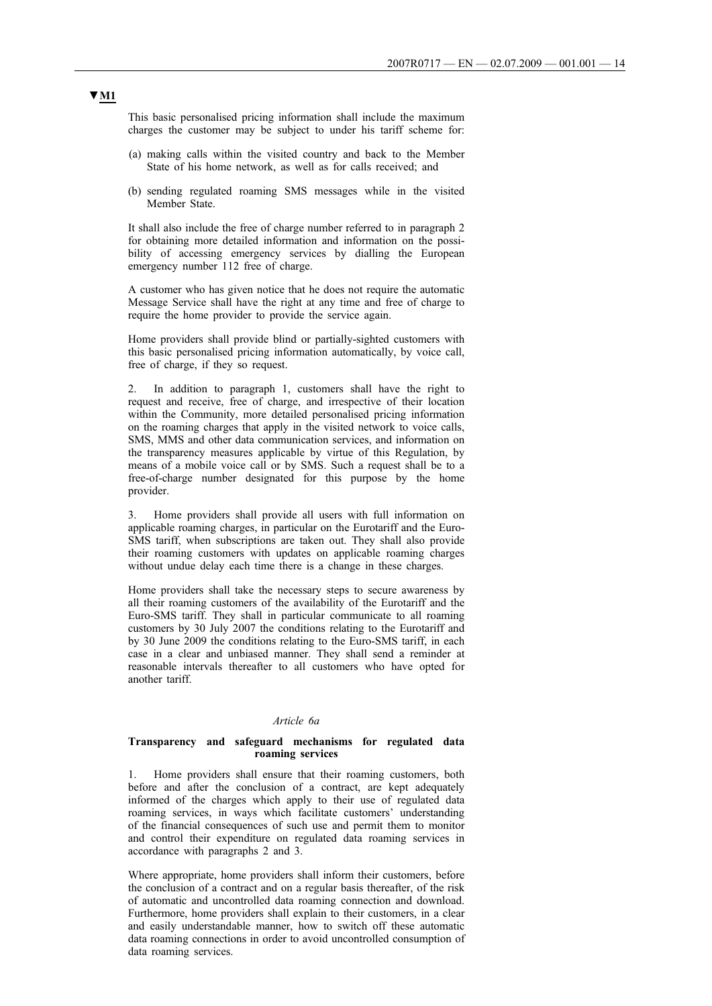This basic personalised pricing information shall include the maximum charges the customer may be subject to under his tariff scheme for:

- (a) making calls within the visited country and back to the Member State of his home network, as well as for calls received; and
- (b) sending regulated roaming SMS messages while in the visited Member State.

It shall also include the free of charge number referred to in paragraph 2 for obtaining more detailed information and information on the possibility of accessing emergency services by dialling the European emergency number 112 free of charge.

A customer who has given notice that he does not require the automatic Message Service shall have the right at any time and free of charge to require the home provider to provide the service again.

Home providers shall provide blind or partially-sighted customers with this basic personalised pricing information automatically, by voice call, free of charge, if they so request.

In addition to paragraph 1, customers shall have the right to request and receive, free of charge, and irrespective of their location within the Community, more detailed personalised pricing information on the roaming charges that apply in the visited network to voice calls, SMS, MMS and other data communication services, and information on the transparency measures applicable by virtue of this Regulation, by means of a mobile voice call or by SMS. Such a request shall be to a free-of-charge number designated for this purpose by the home provider.

3. Home providers shall provide all users with full information on applicable roaming charges, in particular on the Eurotariff and the Euro-SMS tariff, when subscriptions are taken out. They shall also provide their roaming customers with updates on applicable roaming charges without undue delay each time there is a change in these charges.

Home providers shall take the necessary steps to secure awareness by all their roaming customers of the availability of the Eurotariff and the Euro-SMS tariff. They shall in particular communicate to all roaming customers by 30 July 2007 the conditions relating to the Eurotariff and by 30 June 2009 the conditions relating to the Euro-SMS tariff, in each case in a clear and unbiased manner. They shall send a reminder at reasonable intervals thereafter to all customers who have opted for another tariff.

#### *Article 6a*

### **Transparency and safeguard mechanisms for regulated data roaming services**

1. Home providers shall ensure that their roaming customers, both before and after the conclusion of a contract, are kept adequately informed of the charges which apply to their use of regulated data roaming services, in ways which facilitate customers' understanding of the financial consequences of such use and permit them to monitor and control their expenditure on regulated data roaming services in accordance with paragraphs 2 and 3.

Where appropriate, home providers shall inform their customers, before the conclusion of a contract and on a regular basis thereafter, of the risk of automatic and uncontrolled data roaming connection and download. Furthermore, home providers shall explain to their customers, in a clear and easily understandable manner, how to switch off these automatic data roaming connections in order to avoid uncontrolled consumption of data roaming services.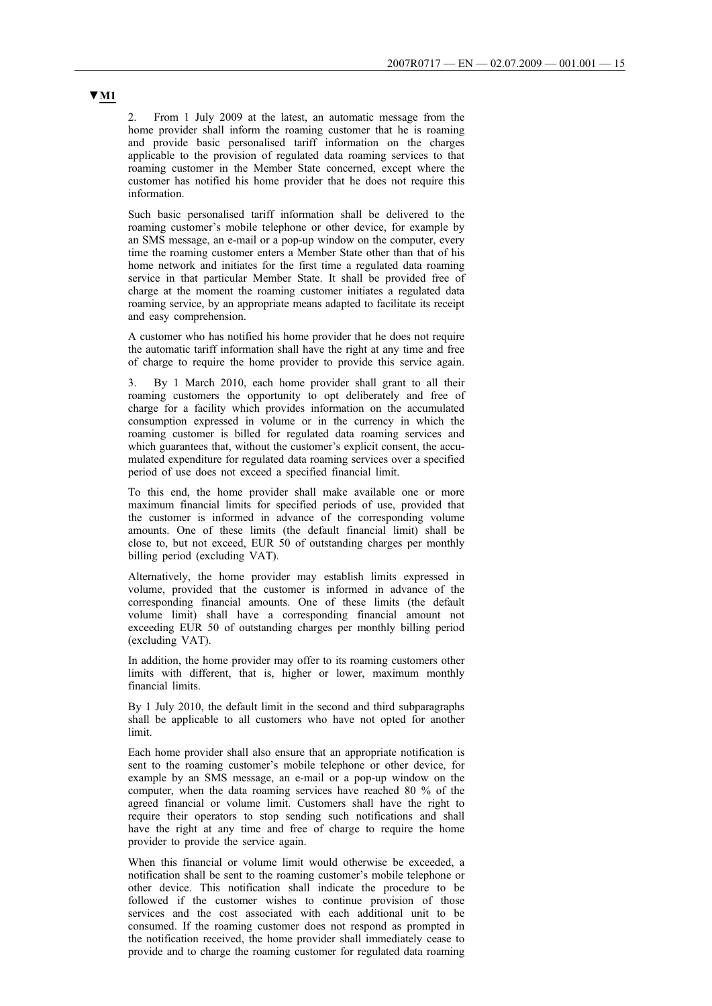2. From 1 July 2009 at the latest, an automatic message from the home provider shall inform the roaming customer that he is roaming and provide basic personalised tariff information on the charges applicable to the provision of regulated data roaming services to that roaming customer in the Member State concerned, except where the customer has notified his home provider that he does not require this information.

Such basic personalised tariff information shall be delivered to the roaming customer's mobile telephone or other device, for example by an SMS message, an e-mail or a pop-up window on the computer, every time the roaming customer enters a Member State other than that of his home network and initiates for the first time a regulated data roaming service in that particular Member State. It shall be provided free of charge at the moment the roaming customer initiates a regulated data roaming service, by an appropriate means adapted to facilitate its receipt and easy comprehension.

A customer who has notified his home provider that he does not require the automatic tariff information shall have the right at any time and free of charge to require the home provider to provide this service again.

3. By 1 March 2010, each home provider shall grant to all their roaming customers the opportunity to opt deliberately and free of charge for a facility which provides information on the accumulated consumption expressed in volume or in the currency in which the roaming customer is billed for regulated data roaming services and which guarantees that, without the customer's explicit consent, the accumulated expenditure for regulated data roaming services over a specified period of use does not exceed a specified financial limit.

To this end, the home provider shall make available one or more maximum financial limits for specified periods of use, provided that the customer is informed in advance of the corresponding volume amounts. One of these limits (the default financial limit) shall be close to, but not exceed, EUR 50 of outstanding charges per monthly billing period (excluding VAT).

Alternatively, the home provider may establish limits expressed in volume, provided that the customer is informed in advance of the corresponding financial amounts. One of these limits (the default volume limit) shall have a corresponding financial amount not exceeding EUR 50 of outstanding charges per monthly billing period (excluding VAT).

In addition, the home provider may offer to its roaming customers other limits with different, that is, higher or lower, maximum monthly financial limits.

By 1 July 2010, the default limit in the second and third subparagraphs shall be applicable to all customers who have not opted for another limit.

Each home provider shall also ensure that an appropriate notification is sent to the roaming customer's mobile telephone or other device, for example by an SMS message, an e-mail or a pop-up window on the computer, when the data roaming services have reached 80 % of the agreed financial or volume limit. Customers shall have the right to require their operators to stop sending such notifications and shall have the right at any time and free of charge to require the home provider to provide the service again.

When this financial or volume limit would otherwise be exceeded, a notification shall be sent to the roaming customer's mobile telephone or other device. This notification shall indicate the procedure to be followed if the customer wishes to continue provision of those services and the cost associated with each additional unit to be consumed. If the roaming customer does not respond as prompted in the notification received, the home provider shall immediately cease to provide and to charge the roaming customer for regulated data roaming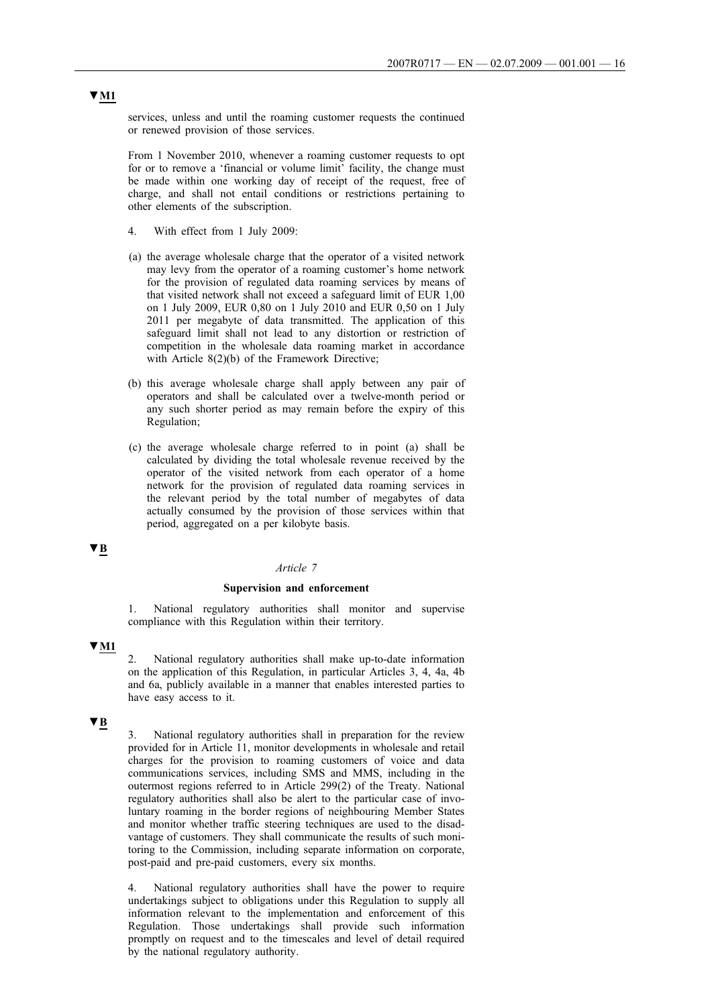services, unless and until the roaming customer requests the continued or renewed provision of those services.

From 1 November 2010, whenever a roaming customer requests to opt for or to remove a 'financial or volume limit' facility, the change must be made within one working day of receipt of the request, free of charge, and shall not entail conditions or restrictions pertaining to other elements of the subscription.

- 4. With effect from 1 July 2009:
- (a) the average wholesale charge that the operator of a visited network may levy from the operator of a roaming customer's home network for the provision of regulated data roaming services by means of that visited network shall not exceed a safeguard limit of EUR 1,00 on 1 July 2009, EUR 0,80 on 1 July 2010 and EUR 0,50 on 1 July 2011 per megabyte of data transmitted. The application of this safeguard limit shall not lead to any distortion or restriction of competition in the wholesale data roaming market in accordance with Article 8(2)(b) of the Framework Directive;
- (b) this average wholesale charge shall apply between any pair of operators and shall be calculated over a twelve-month period or any such shorter period as may remain before the expiry of this Regulation;
- (c) the average wholesale charge referred to in point (a) shall be calculated by dividing the total wholesale revenue received by the operator of the visited network from each operator of a home network for the provision of regulated data roaming services in the relevant period by the total number of megabytes of data actually consumed by the provision of those services within that period, aggregated on a per kilobyte basis.

## **▼B**

### *Article 7*

#### **Supervision and enforcement**

National regulatory authorities shall monitor and supervise compliance with this Regulation within their territory.

### **▼M1**

2. National regulatory authorities shall make up-to-date information on the application of this Regulation, in particular Articles 3, 4, 4a, 4b and 6a, publicly available in a manner that enables interested parties to have easy access to it.

## **▼B**

3. National regulatory authorities shall in preparation for the review provided for in Article 11, monitor developments in wholesale and retail charges for the provision to roaming customers of voice and data communications services, including SMS and MMS, including in the outermost regions referred to in Article 299(2) of the Treaty. National regulatory authorities shall also be alert to the particular case of involuntary roaming in the border regions of neighbouring Member States and monitor whether traffic steering techniques are used to the disadvantage of customers. They shall communicate the results of such monitoring to the Commission, including separate information on corporate, post-paid and pre-paid customers, every six months.

4. National regulatory authorities shall have the power to require undertakings subject to obligations under this Regulation to supply all information relevant to the implementation and enforcement of this Regulation. Those undertakings shall provide such information promptly on request and to the timescales and level of detail required by the national regulatory authority.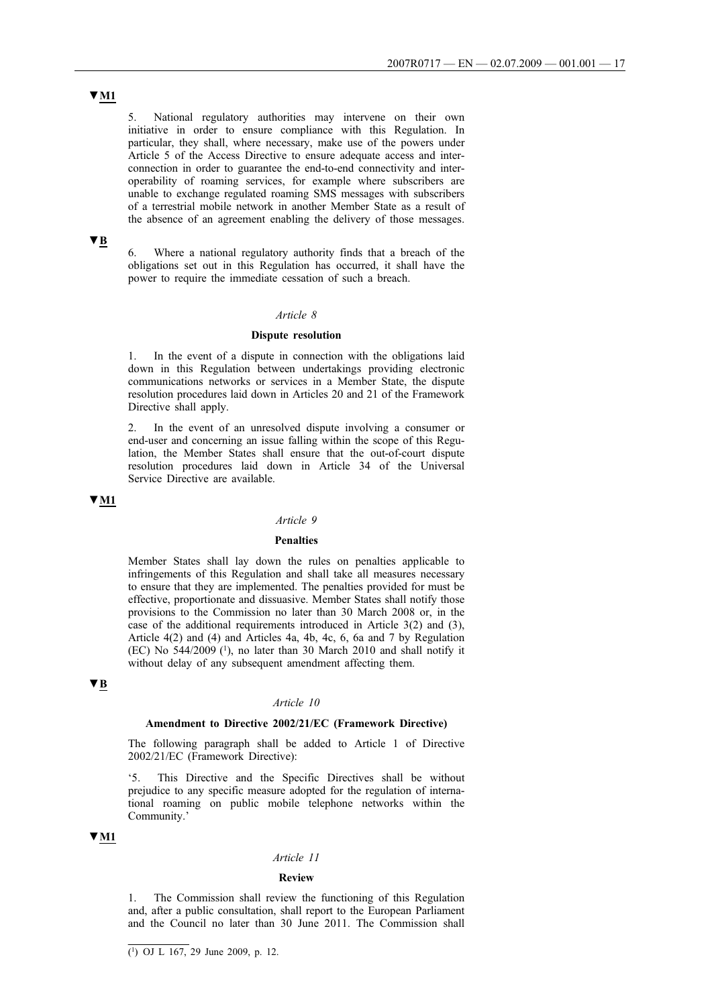# **▼M1**

5. National regulatory authorities may intervene on their own initiative in order to ensure compliance with this Regulation. In particular, they shall, where necessary, make use of the powers under Article 5 of the Access Directive to ensure adequate access and interconnection in order to guarantee the end-to-end connectivity and interoperability of roaming services, for example where subscribers are unable to exchange regulated roaming SMS messages with subscribers of a terrestrial mobile network in another Member State as a result of the absence of an agreement enabling the delivery of those messages.

## **▼B**

6. Where a national regulatory authority finds that a breach of the obligations set out in this Regulation has occurred, it shall have the power to require the immediate cessation of such a breach.

#### *Article 8*

### **Dispute resolution**

1. In the event of a dispute in connection with the obligations laid down in this Regulation between undertakings providing electronic communications networks or services in a Member State, the dispute resolution procedures laid down in Articles 20 and 21 of the Framework Directive shall apply.

2. In the event of an unresolved dispute involving a consumer or end-user and concerning an issue falling within the scope of this Regulation, the Member States shall ensure that the out-of-court dispute resolution procedures laid down in Article 34 of the Universal Service Directive are available.

### **▼M1**

### *Article 9*

### **Penalties**

Member States shall lay down the rules on penalties applicable to infringements of this Regulation and shall take all measures necessary to ensure that they are implemented. The penalties provided for must be effective, proportionate and dissuasive. Member States shall notify those provisions to the Commission no later than 30 March 2008 or, in the case of the additional requirements introduced in Article 3(2) and (3), Article 4(2) and (4) and Articles 4a, 4b, 4c, 6, 6a and 7 by Regulation  $(EC)$  No 544/2009 $(1)$ , no later than 30 March 2010 and shall notify it without delay of any subsequent amendment affecting them.

## **▼B**

### *Article 10*

#### **Amendment to Directive 2002/21/EC (Framework Directive)**

The following paragraph shall be added to Article 1 of Directive 2002/21/EC (Framework Directive):

This Directive and the Specific Directives shall be without prejudice to any specific measure adopted for the regulation of international roaming on public mobile telephone networks within the Community.'

### **▼M1**

### *Article 11*

#### **Review**

1. The Commission shall review the functioning of this Regulation and, after a public consultation, shall report to the European Parliament and the Council no later than 30 June 2011. The Commission shall